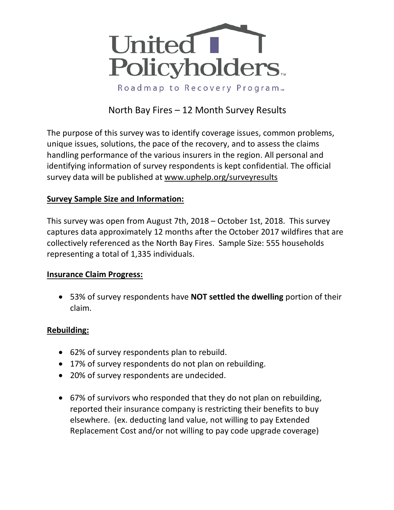

# North Bay Fires – 12 Month Survey Results

The purpose of this survey was to identify coverage issues, common problems, unique issues, solutions, the pace of the recovery, and to assess the claims handling performance of the various insurers in the region. All personal and identifying information of survey respondents is kept confidential. The official survey data will be published at www.uphelp.org/surveyresults

## **Survey Sample Size and Information:**

This survey was open from August 7th, 2018 – October 1st, 2018. This survey captures data approximately 12 months after the October 2017 wildfires that are collectively referenced as the North Bay Fires. Sample Size: 555 households representing a total of 1,335 individuals.

## **Insurance Claim Progress:**

• 53% of survey respondents have **NOT settled the dwelling** portion of their claim.

## **Rebuilding:**

- 62% of survey respondents plan to rebuild.
- 17% of survey respondents do not plan on rebuilding.
- 20% of survey respondents are undecided.
- 67% of survivors who responded that they do not plan on rebuilding, reported their insurance company is restricting their benefits to buy elsewhere. (ex. deducting land value, not willing to pay Extended Replacement Cost and/or not willing to pay code upgrade coverage)